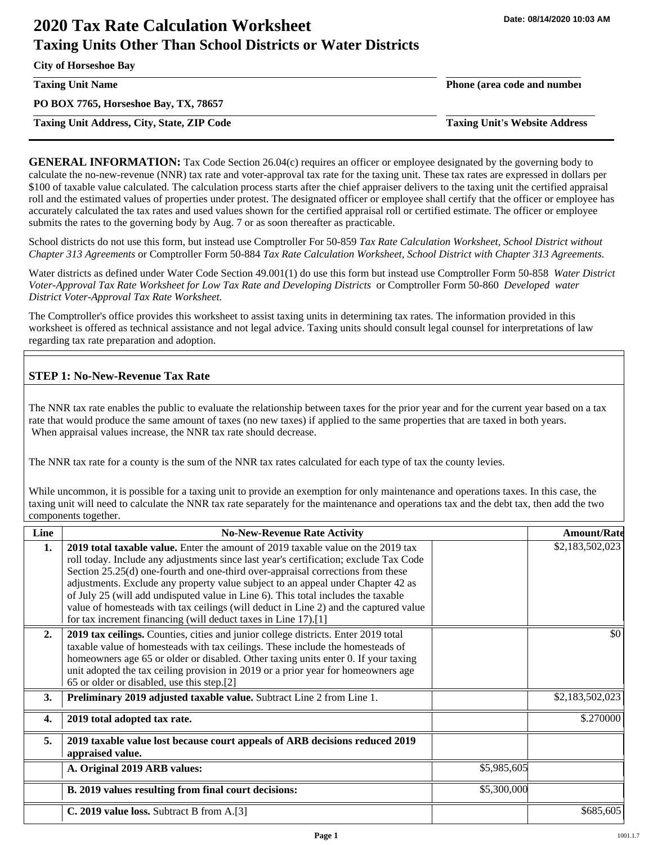# **2020 Tax Rate Calculation Worksheet Taxing Units Other Than School Districts or Water Districts**

**City of Horseshoe Bay**

**Taxing Unit Name Phone (area code and number Phone (area code and number** 

**PO BOX 7765, Horseshoe Bay, TX, 78657**

**Taxing Unit Address, City, State, ZIP Code Taxing Unit's Website Address**

**GENERAL INFORMATION:** Tax Code Section 26.04(c) requires an officer or employee designated by the governing body to calculate the no-new-revenue (NNR) tax rate and voter-approval tax rate for the taxing unit. These tax rates are expressed in dollars per \$100 of taxable value calculated. The calculation process starts after the chief appraiser delivers to the taxing unit the certified appraisal roll and the estimated values of properties under protest. The designated officer or employee shall certify that the officer or employee has accurately calculated the tax rates and used values shown for the certified appraisal roll or certified estimate. The officer or employee submits the rates to the governing body by Aug. 7 or as soon thereafter as practicable.

School districts do not use this form, but instead use Comptroller For 50-859 *Tax Rate Calculation Worksheet, School District without Chapter 313 Agreements* or Comptroller Form 50-884 *Tax Rate Calculation Worksheet, School District with Chapter 313 Agreements.*

Water districts as defined under Water Code Section 49.001(1) do use this form but instead use Comptroller Form 50-858 *Water District Voter-Approval Tax Rate Worksheet for Low Tax Rate and Developing Districts* or Comptroller Form 50-860 *Developed water District Voter-Approval Tax Rate Worksheet.*

The Comptroller's office provides this worksheet to assist taxing units in determining tax rates. The information provided in this worksheet is offered as technical assistance and not legal advice. Taxing units should consult legal counsel for interpretations of law regarding tax rate preparation and adoption.

## **STEP 1: No-New-Revenue Tax Rate**

The NNR tax rate enables the public to evaluate the relationship between taxes for the prior year and for the current year based on a tax rate that would produce the same amount of taxes (no new taxes) if applied to the same properties that are taxed in both years. When appraisal values increase, the NNR tax rate should decrease.

The NNR tax rate for a county is the sum of the NNR tax rates calculated for each type of tax the county levies.

While uncommon, it is possible for a taxing unit to provide an exemption for only maintenance and operations taxes. In this case, the taxing unit will need to calculate the NNR tax rate separately for the maintenance and operations tax and the debt tax, then add the two components together.

| Line | <b>No-New-Revenue Rate Activity</b>                                                                                                                                                                                                                                                                                                                                                                                                                                                                                                                                                             |             | <b>Amount/Rate</b> |
|------|-------------------------------------------------------------------------------------------------------------------------------------------------------------------------------------------------------------------------------------------------------------------------------------------------------------------------------------------------------------------------------------------------------------------------------------------------------------------------------------------------------------------------------------------------------------------------------------------------|-------------|--------------------|
| 1.   | 2019 total taxable value. Enter the amount of 2019 taxable value on the 2019 tax<br>roll today. Include any adjustments since last year's certification; exclude Tax Code<br>Section 25.25(d) one-fourth and one-third over-appraisal corrections from these<br>adjustments. Exclude any property value subject to an appeal under Chapter 42 as<br>of July 25 (will add undisputed value in Line 6). This total includes the taxable<br>value of homesteads with tax ceilings (will deduct in Line 2) and the captured value<br>for tax increment financing (will deduct taxes in Line 17).[1] |             | \$2,183,502,023    |
| 2.   | 2019 tax ceilings. Counties, cities and junior college districts. Enter 2019 total<br>taxable value of homesteads with tax ceilings. These include the homesteads of<br>homeowners age 65 or older or disabled. Other taxing units enter 0. If your taxing<br>unit adopted the tax ceiling provision in 2019 or a prior year for homeowners age<br>65 or older or disabled, use this step.[2]                                                                                                                                                                                                   |             | \$0                |
| 3.   | Preliminary 2019 adjusted taxable value. Subtract Line 2 from Line 1.                                                                                                                                                                                                                                                                                                                                                                                                                                                                                                                           |             | \$2,183,502,023    |
| 4.   | 2019 total adopted tax rate.                                                                                                                                                                                                                                                                                                                                                                                                                                                                                                                                                                    |             | \$.270000          |
| 5.   | 2019 taxable value lost because court appeals of ARB decisions reduced 2019<br>appraised value.                                                                                                                                                                                                                                                                                                                                                                                                                                                                                                 |             |                    |
|      | A. Original 2019 ARB values:                                                                                                                                                                                                                                                                                                                                                                                                                                                                                                                                                                    | \$5,985,605 |                    |
|      | B. 2019 values resulting from final court decisions:                                                                                                                                                                                                                                                                                                                                                                                                                                                                                                                                            | \$5,300,000 |                    |
|      | C. 2019 value loss. Subtract B from A.[3]                                                                                                                                                                                                                                                                                                                                                                                                                                                                                                                                                       |             | \$685,605          |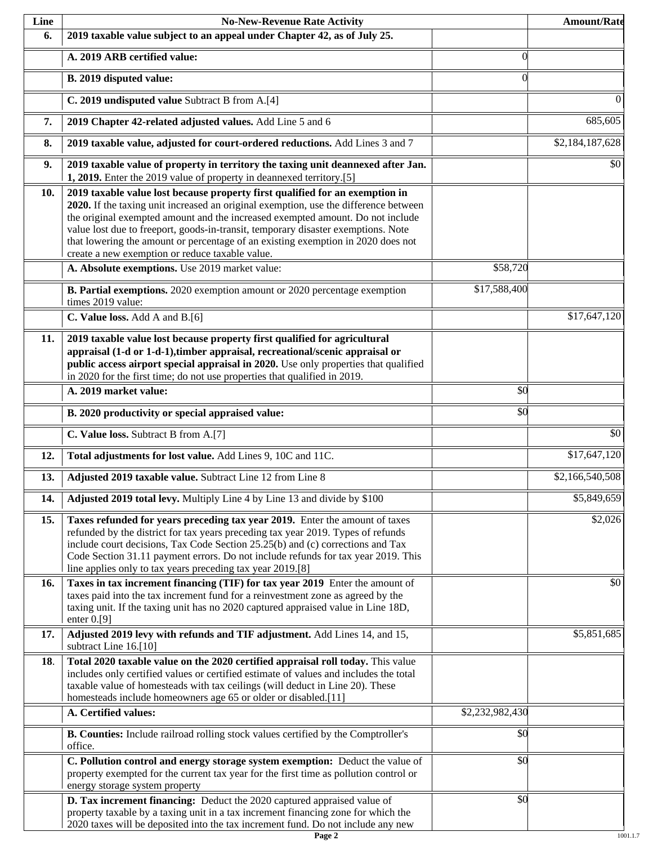| Line | <b>No-New-Revenue Rate Activity</b>                                                                                                                                                                                                                                                                                                                                                                                                                                                |                 | <b>Amount/Rate</b> |
|------|------------------------------------------------------------------------------------------------------------------------------------------------------------------------------------------------------------------------------------------------------------------------------------------------------------------------------------------------------------------------------------------------------------------------------------------------------------------------------------|-----------------|--------------------|
| 6.   | 2019 taxable value subject to an appeal under Chapter 42, as of July 25.                                                                                                                                                                                                                                                                                                                                                                                                           |                 |                    |
|      | A. 2019 ARB certified value:                                                                                                                                                                                                                                                                                                                                                                                                                                                       | $\Omega$        |                    |
|      | B. 2019 disputed value:                                                                                                                                                                                                                                                                                                                                                                                                                                                            | $\Omega$        |                    |
|      | C. 2019 undisputed value Subtract B from A.[4]                                                                                                                                                                                                                                                                                                                                                                                                                                     |                 | $\Omega$           |
| 7.   | 2019 Chapter 42-related adjusted values. Add Line 5 and 6                                                                                                                                                                                                                                                                                                                                                                                                                          |                 | 685,605            |
| 8.   | 2019 taxable value, adjusted for court-ordered reductions. Add Lines 3 and 7                                                                                                                                                                                                                                                                                                                                                                                                       |                 | \$2,184,187,628    |
| 9.   | 2019 taxable value of property in territory the taxing unit deannexed after Jan.<br>1, 2019. Enter the 2019 value of property in deannexed territory.[5]                                                                                                                                                                                                                                                                                                                           |                 | \$0                |
| 10.  | 2019 taxable value lost because property first qualified for an exemption in<br>2020. If the taxing unit increased an original exemption, use the difference between<br>the original exempted amount and the increased exempted amount. Do not include<br>value lost due to freeport, goods-in-transit, temporary disaster exemptions. Note<br>that lowering the amount or percentage of an existing exemption in 2020 does not<br>create a new exemption or reduce taxable value. |                 |                    |
|      | A. Absolute exemptions. Use 2019 market value:                                                                                                                                                                                                                                                                                                                                                                                                                                     | \$58,720        |                    |
|      | B. Partial exemptions. 2020 exemption amount or 2020 percentage exemption<br>times 2019 value:                                                                                                                                                                                                                                                                                                                                                                                     | \$17,588,400    |                    |
|      | C. Value loss. Add A and B.[6]                                                                                                                                                                                                                                                                                                                                                                                                                                                     |                 | \$17,647,120       |
| 11.  | 2019 taxable value lost because property first qualified for agricultural<br>appraisal (1-d or 1-d-1), timber appraisal, recreational/scenic appraisal or<br>public access airport special appraisal in 2020. Use only properties that qualified<br>in 2020 for the first time; do not use properties that qualified in 2019.                                                                                                                                                      |                 |                    |
|      | A. 2019 market value:                                                                                                                                                                                                                                                                                                                                                                                                                                                              | \$0             |                    |
|      | B. 2020 productivity or special appraised value:                                                                                                                                                                                                                                                                                                                                                                                                                                   | \$0             |                    |
|      | C. Value loss. Subtract B from A.[7]                                                                                                                                                                                                                                                                                                                                                                                                                                               |                 | $\overline{50}$    |
| 12.  | Total adjustments for lost value. Add Lines 9, 10C and 11C.                                                                                                                                                                                                                                                                                                                                                                                                                        |                 | \$17,647,120       |
| 13.  | Adjusted 2019 taxable value. Subtract Line 12 from Line 8                                                                                                                                                                                                                                                                                                                                                                                                                          |                 | \$2,166,540,508    |
| 14.  | Adjusted 2019 total levy. Multiply Line 4 by Line 13 and divide by \$100                                                                                                                                                                                                                                                                                                                                                                                                           |                 | \$5,849,659        |
| 15.  | Taxes refunded for years preceding tax year 2019. Enter the amount of taxes<br>refunded by the district for tax years preceding tax year 2019. Types of refunds<br>include court decisions, Tax Code Section 25.25(b) and (c) corrections and Tax<br>Code Section 31.11 payment errors. Do not include refunds for tax year 2019. This<br>line applies only to tax years preceding tax year 2019.[8]                                                                               |                 | \$2,026            |
| 16.  | Taxes in tax increment financing (TIF) for tax year 2019 Enter the amount of<br>taxes paid into the tax increment fund for a reinvestment zone as agreed by the<br>taxing unit. If the taxing unit has no 2020 captured appraised value in Line 18D,<br>enter $0.9$ ]                                                                                                                                                                                                              |                 | \$0                |
| 17.  | Adjusted 2019 levy with refunds and TIF adjustment. Add Lines 14, and 15,<br>subtract Line 16.[10]                                                                                                                                                                                                                                                                                                                                                                                 |                 | \$5,851,685        |
| 18.  | Total 2020 taxable value on the 2020 certified appraisal roll today. This value<br>includes only certified values or certified estimate of values and includes the total<br>taxable value of homesteads with tax ceilings (will deduct in Line 20). These<br>homesteads include homeowners age 65 or older or disabled.[11]                                                                                                                                                        |                 |                    |
|      | A. Certified values:                                                                                                                                                                                                                                                                                                                                                                                                                                                               | \$2,232,982,430 |                    |
|      | B. Counties: Include railroad rolling stock values certified by the Comptroller's<br>office.                                                                                                                                                                                                                                                                                                                                                                                       | \$0             |                    |
|      | C. Pollution control and energy storage system exemption: Deduct the value of<br>property exempted for the current tax year for the first time as pollution control or<br>energy storage system property                                                                                                                                                                                                                                                                           | \$0             |                    |
|      | D. Tax increment financing: Deduct the 2020 captured appraised value of<br>property taxable by a taxing unit in a tax increment financing zone for which the<br>2020 taxes will be deposited into the tax increment fund. Do not include any new                                                                                                                                                                                                                                   | \$0             |                    |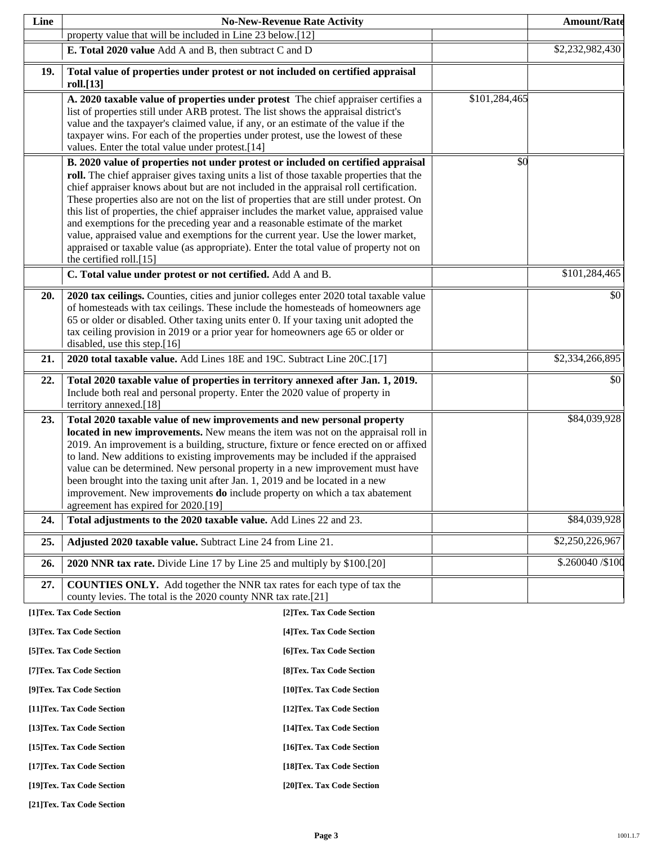| Line |                                                                                                                                                                                                                                                                                                                                                                                                                                                                                                                                                                                                                                                                                                                                                                                                                       | <b>No-New-Revenue Rate Activity</b> |               | <b>Amount/Rate</b> |
|------|-----------------------------------------------------------------------------------------------------------------------------------------------------------------------------------------------------------------------------------------------------------------------------------------------------------------------------------------------------------------------------------------------------------------------------------------------------------------------------------------------------------------------------------------------------------------------------------------------------------------------------------------------------------------------------------------------------------------------------------------------------------------------------------------------------------------------|-------------------------------------|---------------|--------------------|
|      | property value that will be included in Line 23 below.[12]                                                                                                                                                                                                                                                                                                                                                                                                                                                                                                                                                                                                                                                                                                                                                            |                                     |               |                    |
|      | E. Total 2020 value Add A and B, then subtract C and D                                                                                                                                                                                                                                                                                                                                                                                                                                                                                                                                                                                                                                                                                                                                                                |                                     |               | \$2,232,982,430    |
| 19.  | Total value of properties under protest or not included on certified appraisal<br>roll.[13]                                                                                                                                                                                                                                                                                                                                                                                                                                                                                                                                                                                                                                                                                                                           |                                     |               |                    |
|      | A. 2020 taxable value of properties under protest The chief appraiser certifies a<br>list of properties still under ARB protest. The list shows the appraisal district's<br>value and the taxpayer's claimed value, if any, or an estimate of the value if the<br>taxpayer wins. For each of the properties under protest, use the lowest of these<br>values. Enter the total value under protest.[14]                                                                                                                                                                                                                                                                                                                                                                                                                |                                     | \$101,284,465 |                    |
|      | B. 2020 value of properties not under protest or included on certified appraisal<br>roll. The chief appraiser gives taxing units a list of those taxable properties that the<br>chief appraiser knows about but are not included in the appraisal roll certification.<br>These properties also are not on the list of properties that are still under protest. On<br>this list of properties, the chief appraiser includes the market value, appraised value<br>and exemptions for the preceding year and a reasonable estimate of the market<br>value, appraised value and exemptions for the current year. Use the lower market,<br>appraised or taxable value (as appropriate). Enter the total value of property not on<br>the certified roll.[15]<br>C. Total value under protest or not certified. Add A and B. |                                     | \$0           | \$101,284,465      |
| 20.  | 2020 tax ceilings. Counties, cities and junior colleges enter 2020 total taxable value<br>of homesteads with tax ceilings. These include the homesteads of homeowners age<br>65 or older or disabled. Other taxing units enter 0. If your taxing unit adopted the<br>tax ceiling provision in 2019 or a prior year for homeowners age 65 or older or<br>disabled, use this step.[16]                                                                                                                                                                                                                                                                                                                                                                                                                                  |                                     |               | \$0                |
| 21.  | 2020 total taxable value. Add Lines 18E and 19C. Subtract Line 20C.[17]                                                                                                                                                                                                                                                                                                                                                                                                                                                                                                                                                                                                                                                                                                                                               |                                     |               | \$2,334,266,895    |
| 22.  | Total 2020 taxable value of properties in territory annexed after Jan. 1, 2019.<br>Include both real and personal property. Enter the 2020 value of property in<br>territory annexed.[18]                                                                                                                                                                                                                                                                                                                                                                                                                                                                                                                                                                                                                             |                                     |               | \$0                |
| 23.  | Total 2020 taxable value of new improvements and new personal property<br>located in new improvements. New means the item was not on the appraisal roll in<br>2019. An improvement is a building, structure, fixture or fence erected on or affixed<br>to land. New additions to existing improvements may be included if the appraised<br>value can be determined. New personal property in a new improvement must have<br>been brought into the taxing unit after Jan. 1, 2019 and be located in a new<br>improvement. New improvements <b>do</b> include property on which a tax abatement<br>agreement has expired for 2020.[19]                                                                                                                                                                                  |                                     |               | \$84,039,928       |
| 24.  | Total adjustments to the 2020 taxable value. Add Lines 22 and 23.                                                                                                                                                                                                                                                                                                                                                                                                                                                                                                                                                                                                                                                                                                                                                     |                                     |               | \$84,039,928       |
| 25.  | Adjusted 2020 taxable value. Subtract Line 24 from Line 21.                                                                                                                                                                                                                                                                                                                                                                                                                                                                                                                                                                                                                                                                                                                                                           |                                     |               | \$2,250,226,967    |
| 26.  | 2020 NNR tax rate. Divide Line 17 by Line 25 and multiply by \$100.[20]                                                                                                                                                                                                                                                                                                                                                                                                                                                                                                                                                                                                                                                                                                                                               |                                     |               | \$.260040 / \$100  |
| 27.  | <b>COUNTIES ONLY.</b> Add together the NNR tax rates for each type of tax the<br>county levies. The total is the 2020 county NNR tax rate.[21]                                                                                                                                                                                                                                                                                                                                                                                                                                                                                                                                                                                                                                                                        |                                     |               |                    |
|      | [1]Tex. Tax Code Section                                                                                                                                                                                                                                                                                                                                                                                                                                                                                                                                                                                                                                                                                                                                                                                              | [2]Tex. Tax Code Section            |               |                    |
|      | [3]Tex. Tax Code Section                                                                                                                                                                                                                                                                                                                                                                                                                                                                                                                                                                                                                                                                                                                                                                                              | [4] Tex. Tax Code Section           |               |                    |
|      | [5]Tex. Tax Code Section                                                                                                                                                                                                                                                                                                                                                                                                                                                                                                                                                                                                                                                                                                                                                                                              | [6] Tex. Tax Code Section           |               |                    |
|      | [7] Tex. Tax Code Section                                                                                                                                                                                                                                                                                                                                                                                                                                                                                                                                                                                                                                                                                                                                                                                             | [8] Tex. Tax Code Section           |               |                    |
|      | [9]Tex. Tax Code Section                                                                                                                                                                                                                                                                                                                                                                                                                                                                                                                                                                                                                                                                                                                                                                                              | [10]Tex. Tax Code Section           |               |                    |
|      | [11] Tex. Tax Code Section                                                                                                                                                                                                                                                                                                                                                                                                                                                                                                                                                                                                                                                                                                                                                                                            | [12] Tex. Tax Code Section          |               |                    |
|      | [13] Tex. Tax Code Section                                                                                                                                                                                                                                                                                                                                                                                                                                                                                                                                                                                                                                                                                                                                                                                            | [14] Tex. Tax Code Section          |               |                    |
|      | [15] Tex. Tax Code Section                                                                                                                                                                                                                                                                                                                                                                                                                                                                                                                                                                                                                                                                                                                                                                                            | [16] Tex. Tax Code Section          |               |                    |
|      | [17] Tex. Tax Code Section                                                                                                                                                                                                                                                                                                                                                                                                                                                                                                                                                                                                                                                                                                                                                                                            | [18] Tex. Tax Code Section          |               |                    |
|      | [19]Tex. Tax Code Section                                                                                                                                                                                                                                                                                                                                                                                                                                                                                                                                                                                                                                                                                                                                                                                             | [20]Tex. Tax Code Section           |               |                    |

**[21]Tex. Tax Code Section**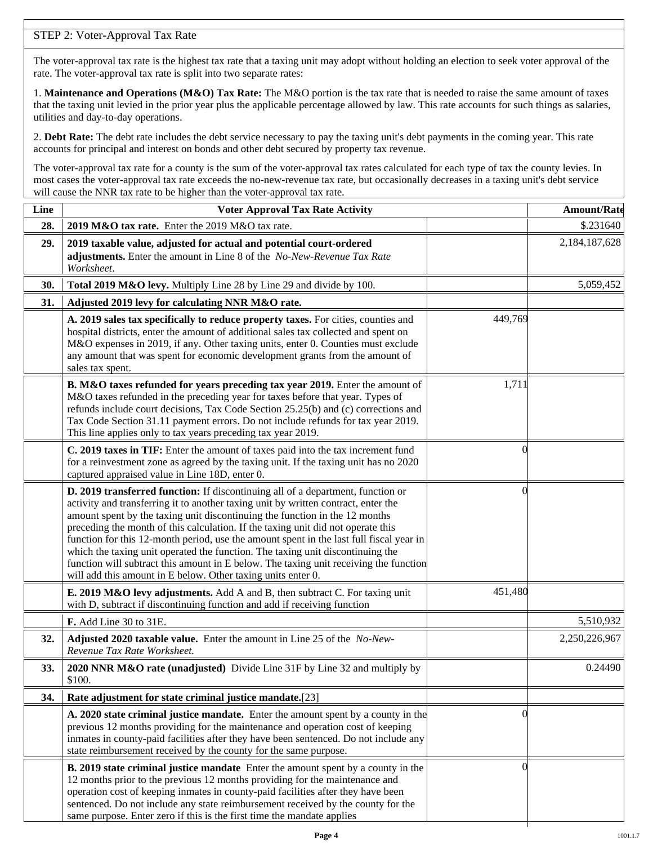## STEP 2: Voter-Approval Tax Rate

The voter-approval tax rate is the highest tax rate that a taxing unit may adopt without holding an election to seek voter approval of the rate. The voter-approval tax rate is split into two separate rates:

1. **Maintenance and Operations (M&O) Tax Rate:** The M&O portion is the tax rate that is needed to raise the same amount of taxes that the taxing unit levied in the prior year plus the applicable percentage allowed by law. This rate accounts for such things as salaries, utilities and day-to-day operations.

2. **Debt Rate:** The debt rate includes the debt service necessary to pay the taxing unit's debt payments in the coming year. This rate accounts for principal and interest on bonds and other debt secured by property tax revenue.

The voter-approval tax rate for a county is the sum of the voter-approval tax rates calculated for each type of tax the county levies. In most cases the voter-approval tax rate exceeds the no-new-revenue tax rate, but occasionally decreases in a taxing unit's debt service will cause the NNR tax rate to be higher than the voter-approval tax rate.

| Line | <b>Voter Approval Tax Rate Activity</b>                                                                                                                                                                                                                                                                                                                                                                                                                                                                                                                                                                                                                                        |          | <b>Amount/Rate</b> |
|------|--------------------------------------------------------------------------------------------------------------------------------------------------------------------------------------------------------------------------------------------------------------------------------------------------------------------------------------------------------------------------------------------------------------------------------------------------------------------------------------------------------------------------------------------------------------------------------------------------------------------------------------------------------------------------------|----------|--------------------|
| 28.  | 2019 M&O tax rate. Enter the 2019 M&O tax rate.                                                                                                                                                                                                                                                                                                                                                                                                                                                                                                                                                                                                                                |          | \$.231640          |
| 29.  | 2019 taxable value, adjusted for actual and potential court-ordered<br>adjustments. Enter the amount in Line 8 of the No-New-Revenue Tax Rate<br>Worksheet.                                                                                                                                                                                                                                                                                                                                                                                                                                                                                                                    |          | 2,184,187,628      |
| 30.  | Total 2019 M&O levy. Multiply Line 28 by Line 29 and divide by 100.                                                                                                                                                                                                                                                                                                                                                                                                                                                                                                                                                                                                            |          | 5,059,452          |
| 31.  | Adjusted 2019 levy for calculating NNR M&O rate.                                                                                                                                                                                                                                                                                                                                                                                                                                                                                                                                                                                                                               |          |                    |
|      | A. 2019 sales tax specifically to reduce property taxes. For cities, counties and<br>hospital districts, enter the amount of additional sales tax collected and spent on<br>M&O expenses in 2019, if any. Other taxing units, enter 0. Counties must exclude<br>any amount that was spent for economic development grants from the amount of<br>sales tax spent.                                                                                                                                                                                                                                                                                                               | 449,769  |                    |
|      | B. M&O taxes refunded for years preceding tax year 2019. Enter the amount of<br>M&O taxes refunded in the preceding year for taxes before that year. Types of<br>refunds include court decisions, Tax Code Section 25.25(b) and (c) corrections and<br>Tax Code Section 31.11 payment errors. Do not include refunds for tax year 2019.<br>This line applies only to tax years preceding tax year 2019.                                                                                                                                                                                                                                                                        | 1,711    |                    |
|      | C. 2019 taxes in TIF: Enter the amount of taxes paid into the tax increment fund<br>for a reinvestment zone as agreed by the taxing unit. If the taxing unit has no 2020<br>captured appraised value in Line 18D, enter 0.                                                                                                                                                                                                                                                                                                                                                                                                                                                     | $\theta$ |                    |
|      | D. 2019 transferred function: If discontinuing all of a department, function or<br>activity and transferring it to another taxing unit by written contract, enter the<br>amount spent by the taxing unit discontinuing the function in the 12 months<br>preceding the month of this calculation. If the taxing unit did not operate this<br>function for this 12-month period, use the amount spent in the last full fiscal year in<br>which the taxing unit operated the function. The taxing unit discontinuing the<br>function will subtract this amount in E below. The taxing unit receiving the function<br>will add this amount in E below. Other taxing units enter 0. | $\left($ |                    |
|      | E. 2019 M&O levy adjustments. Add A and B, then subtract C. For taxing unit<br>with D, subtract if discontinuing function and add if receiving function                                                                                                                                                                                                                                                                                                                                                                                                                                                                                                                        | 451,480  |                    |
|      | F. Add Line 30 to 31E.                                                                                                                                                                                                                                                                                                                                                                                                                                                                                                                                                                                                                                                         |          | 5,510,932          |
| 32.  | Adjusted 2020 taxable value. Enter the amount in Line 25 of the No-New-<br>Revenue Tax Rate Worksheet.                                                                                                                                                                                                                                                                                                                                                                                                                                                                                                                                                                         |          | 2,250,226,967      |
| 33.  | 2020 NNR M&O rate (unadjusted) Divide Line 31F by Line 32 and multiply by<br>\$100.                                                                                                                                                                                                                                                                                                                                                                                                                                                                                                                                                                                            |          | 0.24490            |
| 34.  | Rate adjustment for state criminal justice mandate.[23]                                                                                                                                                                                                                                                                                                                                                                                                                                                                                                                                                                                                                        |          |                    |
|      | A. 2020 state criminal justice mandate. Enter the amount spent by a county in the<br>previous 12 months providing for the maintenance and operation cost of keeping<br>inmates in county-paid facilities after they have been sentenced. Do not include any<br>state reimbursement received by the county for the same purpose.                                                                                                                                                                                                                                                                                                                                                | $\theta$ |                    |
|      | B. 2019 state criminal justice mandate Enter the amount spent by a county in the<br>12 months prior to the previous 12 months providing for the maintenance and<br>operation cost of keeping inmates in county-paid facilities after they have been<br>sentenced. Do not include any state reimbursement received by the county for the<br>same purpose. Enter zero if this is the first time the mandate applies                                                                                                                                                                                                                                                              | $\Omega$ |                    |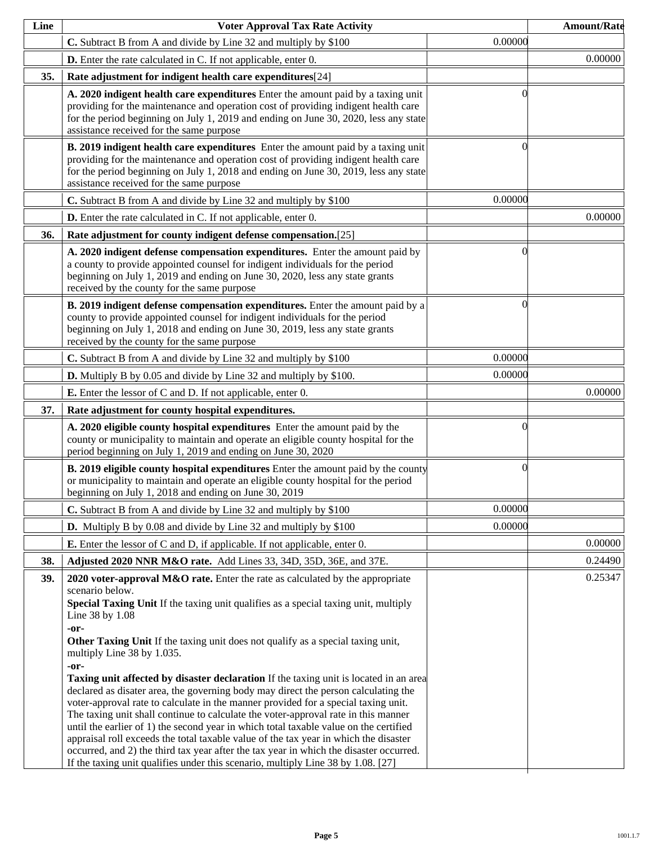| Line | <b>Voter Approval Tax Rate Activity</b>                                                                                                                                                                                                                                                                                                                                                                                                                                                                                                                                                                                                                                                                                                                                                                                                                                                                                                                                                                                                                                        |           | <b>Amount/Rate</b> |
|------|--------------------------------------------------------------------------------------------------------------------------------------------------------------------------------------------------------------------------------------------------------------------------------------------------------------------------------------------------------------------------------------------------------------------------------------------------------------------------------------------------------------------------------------------------------------------------------------------------------------------------------------------------------------------------------------------------------------------------------------------------------------------------------------------------------------------------------------------------------------------------------------------------------------------------------------------------------------------------------------------------------------------------------------------------------------------------------|-----------|--------------------|
|      | C. Subtract B from A and divide by Line 32 and multiply by \$100                                                                                                                                                                                                                                                                                                                                                                                                                                                                                                                                                                                                                                                                                                                                                                                                                                                                                                                                                                                                               | 0.00000   |                    |
|      | <b>D.</b> Enter the rate calculated in C. If not applicable, enter 0.                                                                                                                                                                                                                                                                                                                                                                                                                                                                                                                                                                                                                                                                                                                                                                                                                                                                                                                                                                                                          |           | 0.00000            |
| 35.  | Rate adjustment for indigent health care expenditures[24]                                                                                                                                                                                                                                                                                                                                                                                                                                                                                                                                                                                                                                                                                                                                                                                                                                                                                                                                                                                                                      |           |                    |
|      | A. 2020 indigent health care expenditures Enter the amount paid by a taxing unit<br>providing for the maintenance and operation cost of providing indigent health care<br>for the period beginning on July 1, 2019 and ending on June 30, 2020, less any state<br>assistance received for the same purpose                                                                                                                                                                                                                                                                                                                                                                                                                                                                                                                                                                                                                                                                                                                                                                     |           |                    |
|      | B. 2019 indigent health care expenditures Enter the amount paid by a taxing unit<br>providing for the maintenance and operation cost of providing indigent health care<br>for the period beginning on July 1, 2018 and ending on June 30, 2019, less any state<br>assistance received for the same purpose                                                                                                                                                                                                                                                                                                                                                                                                                                                                                                                                                                                                                                                                                                                                                                     | $\bigcap$ |                    |
|      | C. Subtract B from A and divide by Line 32 and multiply by \$100                                                                                                                                                                                                                                                                                                                                                                                                                                                                                                                                                                                                                                                                                                                                                                                                                                                                                                                                                                                                               | 0.00000   |                    |
|      | <b>D.</b> Enter the rate calculated in C. If not applicable, enter 0.                                                                                                                                                                                                                                                                                                                                                                                                                                                                                                                                                                                                                                                                                                                                                                                                                                                                                                                                                                                                          |           | 0.00000            |
| 36.  | Rate adjustment for county indigent defense compensation.[25]                                                                                                                                                                                                                                                                                                                                                                                                                                                                                                                                                                                                                                                                                                                                                                                                                                                                                                                                                                                                                  |           |                    |
|      | A. 2020 indigent defense compensation expenditures. Enter the amount paid by<br>a county to provide appointed counsel for indigent individuals for the period<br>beginning on July 1, 2019 and ending on June 30, 2020, less any state grants<br>received by the county for the same purpose                                                                                                                                                                                                                                                                                                                                                                                                                                                                                                                                                                                                                                                                                                                                                                                   | 0         |                    |
|      | B. 2019 indigent defense compensation expenditures. Enter the amount paid by a<br>county to provide appointed counsel for indigent individuals for the period<br>beginning on July 1, 2018 and ending on June 30, 2019, less any state grants<br>received by the county for the same purpose                                                                                                                                                                                                                                                                                                                                                                                                                                                                                                                                                                                                                                                                                                                                                                                   | 0         |                    |
|      | C. Subtract B from A and divide by Line 32 and multiply by \$100                                                                                                                                                                                                                                                                                                                                                                                                                                                                                                                                                                                                                                                                                                                                                                                                                                                                                                                                                                                                               | 0.00000   |                    |
|      | <b>D.</b> Multiply B by 0.05 and divide by Line 32 and multiply by \$100.                                                                                                                                                                                                                                                                                                                                                                                                                                                                                                                                                                                                                                                                                                                                                                                                                                                                                                                                                                                                      | 0.00000   |                    |
|      | <b>E.</b> Enter the lessor of C and D. If not applicable, enter 0.                                                                                                                                                                                                                                                                                                                                                                                                                                                                                                                                                                                                                                                                                                                                                                                                                                                                                                                                                                                                             |           | 0.00000            |
| 37.  | Rate adjustment for county hospital expenditures.                                                                                                                                                                                                                                                                                                                                                                                                                                                                                                                                                                                                                                                                                                                                                                                                                                                                                                                                                                                                                              |           |                    |
|      | A. 2020 eligible county hospital expenditures Enter the amount paid by the<br>county or municipality to maintain and operate an eligible county hospital for the<br>period beginning on July 1, 2019 and ending on June 30, 2020                                                                                                                                                                                                                                                                                                                                                                                                                                                                                                                                                                                                                                                                                                                                                                                                                                               |           |                    |
|      | <b>B. 2019 eligible county hospital expenditures</b> Enter the amount paid by the county<br>or municipality to maintain and operate an eligible county hospital for the period<br>beginning on July 1, 2018 and ending on June 30, 2019                                                                                                                                                                                                                                                                                                                                                                                                                                                                                                                                                                                                                                                                                                                                                                                                                                        | 0         |                    |
|      | C. Subtract B from A and divide by Line 32 and multiply by \$100                                                                                                                                                                                                                                                                                                                                                                                                                                                                                                                                                                                                                                                                                                                                                                                                                                                                                                                                                                                                               | 0.00000   |                    |
|      | <b>D.</b> Multiply B by 0.08 and divide by Line 32 and multiply by \$100                                                                                                                                                                                                                                                                                                                                                                                                                                                                                                                                                                                                                                                                                                                                                                                                                                                                                                                                                                                                       | 0.00000   |                    |
|      | <b>E.</b> Enter the lessor of C and D, if applicable. If not applicable, enter 0.                                                                                                                                                                                                                                                                                                                                                                                                                                                                                                                                                                                                                                                                                                                                                                                                                                                                                                                                                                                              |           | 0.00000            |
| 38.  | Adjusted 2020 NNR M&O rate. Add Lines 33, 34D, 35D, 36E, and 37E.                                                                                                                                                                                                                                                                                                                                                                                                                                                                                                                                                                                                                                                                                                                                                                                                                                                                                                                                                                                                              |           | 0.24490            |
| 39.  | 2020 voter-approval $M&O$ rate. Enter the rate as calculated by the appropriate<br>scenario below.<br>Special Taxing Unit If the taxing unit qualifies as a special taxing unit, multiply<br>Line 38 by 1.08<br>-or-<br>Other Taxing Unit If the taxing unit does not qualify as a special taxing unit,<br>multiply Line 38 by 1.035.<br>-or-<br><b>Taxing unit affected by disaster declaration</b> If the taxing unit is located in an area<br>declared as disater area, the governing body may direct the person calculating the<br>voter-approval rate to calculate in the manner provided for a special taxing unit.<br>The taxing unit shall continue to calculate the voter-approval rate in this manner<br>until the earlier of 1) the second year in which total taxable value on the certified<br>appraisal roll exceeds the total taxable value of the tax year in which the disaster<br>occurred, and 2) the third tax year after the tax year in which the disaster occurred.<br>If the taxing unit qualifies under this scenario, multiply Line 38 by 1.08. [27] |           | 0.25347            |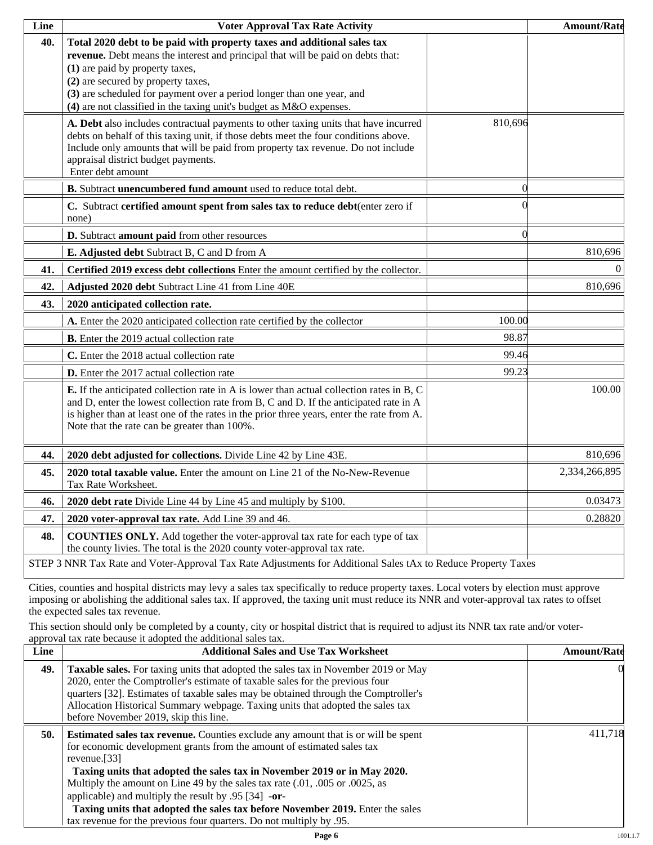| Line | <b>Voter Approval Tax Rate Activity</b>                                                                                                                                                                                                                                                                                                                                               |          | <b>Amount/Rate</b> |
|------|---------------------------------------------------------------------------------------------------------------------------------------------------------------------------------------------------------------------------------------------------------------------------------------------------------------------------------------------------------------------------------------|----------|--------------------|
| 40.  | Total 2020 debt to be paid with property taxes and additional sales tax<br>revenue. Debt means the interest and principal that will be paid on debts that:<br>(1) are paid by property taxes,<br>(2) are secured by property taxes,<br>(3) are scheduled for payment over a period longer than one year, and<br>$(4)$ are not classified in the taxing unit's budget as M&O expenses. |          |                    |
|      | A. Debt also includes contractual payments to other taxing units that have incurred<br>debts on behalf of this taxing unit, if those debts meet the four conditions above.<br>Include only amounts that will be paid from property tax revenue. Do not include<br>appraisal district budget payments.<br>Enter debt amount                                                            | 810,696  |                    |
|      | B. Subtract unencumbered fund amount used to reduce total debt.                                                                                                                                                                                                                                                                                                                       | $\Omega$ |                    |
|      | C. Subtract certified amount spent from sales tax to reduce debt(enter zero if<br>none)                                                                                                                                                                                                                                                                                               |          |                    |
|      | D. Subtract amount paid from other resources                                                                                                                                                                                                                                                                                                                                          | $\Omega$ |                    |
|      | E. Adjusted debt Subtract B, C and D from A                                                                                                                                                                                                                                                                                                                                           |          | 810,696            |
| 41.  | Certified 2019 excess debt collections Enter the amount certified by the collector.                                                                                                                                                                                                                                                                                                   |          | $\overline{0}$     |
| 42.  | Adjusted 2020 debt Subtract Line 41 from Line 40E                                                                                                                                                                                                                                                                                                                                     |          | 810,696            |
| 43.  | 2020 anticipated collection rate.                                                                                                                                                                                                                                                                                                                                                     |          |                    |
|      | A. Enter the 2020 anticipated collection rate certified by the collector                                                                                                                                                                                                                                                                                                              | 100.00   |                    |
|      | <b>B.</b> Enter the 2019 actual collection rate                                                                                                                                                                                                                                                                                                                                       | 98.87    |                    |
|      | C. Enter the 2018 actual collection rate                                                                                                                                                                                                                                                                                                                                              | 99.46    |                    |
|      | D. Enter the 2017 actual collection rate                                                                                                                                                                                                                                                                                                                                              | 99.23    |                    |
|      | <b>E.</b> If the anticipated collection rate in A is lower than actual collection rates in B, C<br>and D, enter the lowest collection rate from B, C and D. If the anticipated rate in A<br>is higher than at least one of the rates in the prior three years, enter the rate from A.<br>Note that the rate can be greater than 100%.                                                 |          | 100.00             |
| 44.  | 2020 debt adjusted for collections. Divide Line 42 by Line 43E.                                                                                                                                                                                                                                                                                                                       |          | 810,696            |
| 45.  | 2020 total taxable value. Enter the amount on Line 21 of the No-New-Revenue<br>Tax Rate Worksheet.                                                                                                                                                                                                                                                                                    |          | 2,334,266,895      |
| 46.  | 2020 debt rate Divide Line 44 by Line 45 and multiply by \$100.                                                                                                                                                                                                                                                                                                                       |          | 0.03473            |
| 47.  | 2020 voter-approval tax rate. Add Line 39 and 46.                                                                                                                                                                                                                                                                                                                                     |          | 0.28820            |
| 48.  | <b>COUNTIES ONLY.</b> Add together the voter-approval tax rate for each type of tax<br>the county livies. The total is the 2020 county voter-approval tax rate.                                                                                                                                                                                                                       |          |                    |
|      | STEP 3 NNR Tax Rate and Voter-Approval Tax Rate Adjustments for Additional Sales tAx to Reduce Property Taxes                                                                                                                                                                                                                                                                         |          |                    |

Cities, counties and hospital districts may levy a sales tax specifically to reduce property taxes. Local voters by election must approve imposing or abolishing the additional sales tax. If approved, the taxing unit must reduce its NNR and voter-approval tax rates to offset the expected sales tax revenue.

This section should only be completed by a county, city or hospital district that is required to adjust its NNR tax rate and/or voterapproval tax rate because it adopted the additional sales tax.

| Line | <b>Additional Sales and Use Tax Worksheet</b>                                                                                                                                                                                                                                                                                                                                                | <b>Amount/Rate</b> |
|------|----------------------------------------------------------------------------------------------------------------------------------------------------------------------------------------------------------------------------------------------------------------------------------------------------------------------------------------------------------------------------------------------|--------------------|
| 49.  | <b>Taxable sales.</b> For taxing units that adopted the sales tax in November 2019 or May<br>2020, enter the Comptroller's estimate of taxable sales for the previous four<br>quarters [32]. Estimates of taxable sales may be obtained through the Comptroller's<br>Allocation Historical Summary webpage. Taxing units that adopted the sales tax<br>before November 2019, skip this line. | $\Omega$           |
| 50.  | <b>Estimated sales tax revenue.</b> Counties exclude any amount that is or will be spent<br>for economic development grants from the amount of estimated sales tax<br>revenue. $[33]$<br>Taxing units that adopted the sales tax in November 2019 or in May 2020.<br>Multiply the amount on Line 49 by the sales tax rate (.01, .005 or .0025, as                                            | 411,718            |
|      | applicable) and multiply the result by $.95$ [34] -or-<br>Taxing units that adopted the sales tax before November 2019. Enter the sales<br>tax revenue for the previous four quarters. Do not multiply by .95.                                                                                                                                                                               |                    |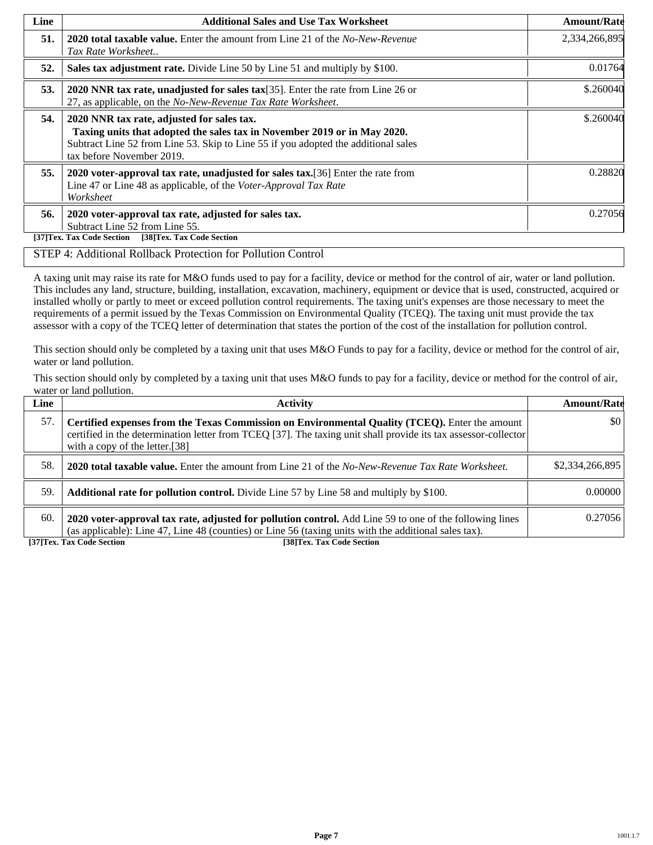| Line | <b>Additional Sales and Use Tax Worksheet</b>                                                                                                                                                                                             | <b>Amount/Rate</b> |
|------|-------------------------------------------------------------------------------------------------------------------------------------------------------------------------------------------------------------------------------------------|--------------------|
| 51.  | <b>2020 total taxable value.</b> Enter the amount from Line 21 of the <i>No-New-Revenue</i><br>Tax Rate Worksheet                                                                                                                         | 2,334,266,895      |
| 52.  | Sales tax adjustment rate. Divide Line 50 by Line 51 and multiply by \$100.                                                                                                                                                               | 0.01764            |
| 53.  | 2020 NNR tax rate, unadjusted for sales tax $[35]$ . Enter the rate from Line 26 or<br>27, as applicable, on the No-New-Revenue Tax Rate Worksheet.                                                                                       | \$.260040          |
| 54.  | 2020 NNR tax rate, adjusted for sales tax.<br>Taxing units that adopted the sales tax in November 2019 or in May 2020.<br>Subtract Line 52 from Line 53. Skip to Line 55 if you adopted the additional sales<br>tax before November 2019. | \$.260040          |
| 55.  | 2020 voter-approval tax rate, unadjusted for sales tax. [36] Enter the rate from<br>Line 47 or Line 48 as applicable, of the Voter-Approval Tax Rate<br>Worksheet                                                                         | 0.28820            |
| 56.  | 2020 voter-approval tax rate, adjusted for sales tax.<br>Subtract Line 52 from Line 55.<br>[38]Tex. Tax Code Section<br>[37]Tex. Tax Code Section                                                                                         | 0.27056            |

#### STEP 4: Additional Rollback Protection for Pollution Control

A taxing unit may raise its rate for M&O funds used to pay for a facility, device or method for the control of air, water or land pollution. This includes any land, structure, building, installation, excavation, machinery, equipment or device that is used, constructed, acquired or installed wholly or partly to meet or exceed pollution control requirements. The taxing unit's expenses are those necessary to meet the requirements of a permit issued by the Texas Commission on Environmental Quality (TCEQ). The taxing unit must provide the tax assessor with a copy of the TCEQ letter of determination that states the portion of the cost of the installation for pollution control.

This section should only be completed by a taxing unit that uses M&O Funds to pay for a facility, device or method for the control of air, water or land pollution.

This section should only by completed by a taxing unit that uses M&O funds to pay for a facility, device or method for the control of air, water or land pollution.

| Line | <b>Activity</b>                                                                                                                                                                                                                                    | <b>Amount/Rate</b>      |
|------|----------------------------------------------------------------------------------------------------------------------------------------------------------------------------------------------------------------------------------------------------|-------------------------|
| 57.  | Certified expenses from the Texas Commission on Environmental Quality (TCEQ). Enter the amount<br>certified in the determination letter from TCEQ [37]. The taxing unit shall provide its tax assessor-collector<br>with a copy of the letter.[38] | $\vert \$\text{0}\vert$ |
| 58.  | <b>2020 total taxable value.</b> Enter the amount from Line 21 of the No-New-Revenue Tax Rate Worksheet.                                                                                                                                           | \$2,334,266,895         |
| 59.  | <b>Additional rate for pollution control.</b> Divide Line 57 by Line 58 and multiply by \$100.                                                                                                                                                     | 0.00000                 |
| 60.  | 2020 voter-approval tax rate, adjusted for pollution control. Add Line 59 to one of the following lines<br>(as applicable): Line 47, Line 48 (counties) or Line 56 (taxing units with the additional sales tax).                                   | 0.27056                 |

**[37]Tex. Tax Code Section [38]Tex. Tax Code Section**